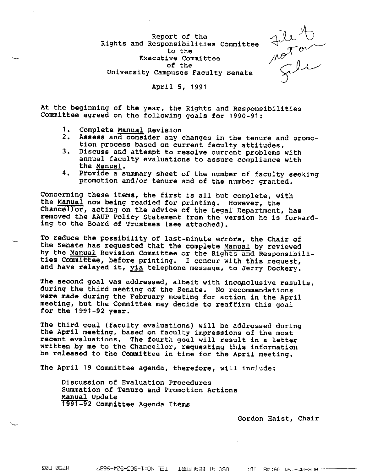Report of the Rights and Responsibilities Committee<br>
Executive Committee<br>  $\begin{array}{c}\n\text{Exercise} \\
\text{Exercise} \\
\text{or }\text{the} \\
\text{University Campuses Faculty Senate}\n\end{array}$ to the Executive Committee of the University Campuses Faculty Senate

## April S, 1991

At the beginning of the year, the Rights and Responsibilities Committee agreed on the following goals for 1990-91:

- 1. Complete Manual Revision
- 2, **Assess** and consider any changes in the tenure and promotion process based on current faculty attitudes.
- 3. Discuss and attempt to resolve current problems with annual faculty evaluations to assure compliance with the Manual.
- 4, Provide a summary sheet of the number of faculty seeking promotion and/or tenure and of the number granted,

Concerning these items, the first is all but complete, with the Manual now being readied for printing. However, the Chancellor, acting on the advice of the Legal Department, has removed the AAUP Policy Statement from the version he is forwarding to the Board of Trustees (see attached).

To reduce the possibility of last-minute errors, the Chair of the Senate has requested that the complete Manual by reviewed by the Manual Revision Committee or the Rights and Responsibilities Committee, before printing. I concur with this request, and have relayed it, yia telephone message, to Jerry Dockery.

The second goal was addressed, albeit with inconclusive results, during the third meeting of the Senate. No recommendations **were** made during the February meeting for action in the April meeting, but the Committee may decide to reaffirm this goal for the 1991-92 **year.** 

The third goal (faculty evaluations) will be addressed during<br>the April meeting, based on faculty impressions of the most recent evaluations. The fourth goal will result in a letter written by me to the Chancellor, requesting this information be released to the Committee in time for the April meeting.

The April 19 Committee agenda, therefore, will include:

Discussion of Evaluation Procedures summation of Tenure and Promotion Actions Manual Update 1991-92 Committee Agenda Items

Gordon Haist, Chair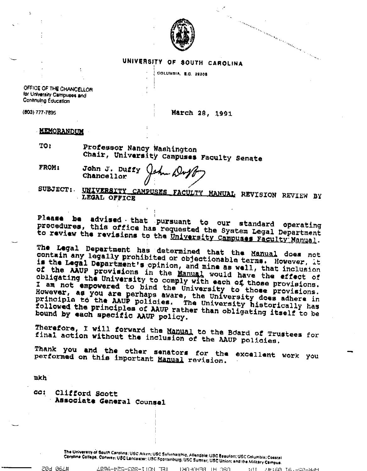

## UNIVERSITY OF SOUTH CAROLINA

COLUMBIA, 8.0. 29206

OFFICE OF THE CHANCELLOR for University Campuses and Continuing Education

(803) 777-7895

March 28, 1991

er en menden er en er en menden er en en menden.

## **MEMORANDUM**

| TO: | Professor Nancy Washington                |  |  |
|-----|-------------------------------------------|--|--|
|     | Chair, University Campuses Faculty Senatr |  |  |

- **FROM:** John J. Duffy Chancellor
- UNIVERSITY CAMPUSES FACULTY MANUAL REVISION REVIEW BY **SUBJECT:** LEGAL OFFICE

Plaase be advised that pursuant to our standard operating procedures, this office has requested the System Legal Department to review the revisions to the University Campuses Faculty Manual.

The Legal Department has determined that the Manual does not contain any legally prohibited or objectionable terms. However, it is the Legal Department's opinion, and mine as well, that inclusion of the AAUP provisions in the Manual would have the effect of obligating the University to comply with each of those provisions. I am not empowered to bind the University to those provisions. However, as you are perhaps aware, the University does adhere in principle to the AAUP policies. The University historically has followed the principles of AAUP rather than obligating itself to be bound by each specific AAUP policy.

Therefore, I will forward the Manual to the Board of Trustees for final action without the inclusion of the AAUP policies.

Thank you and the other senators for the excellent work you performed on this important Manual revision.

mkh

20d 062#

CG : Clifford Scott Associate General Counsel

> The University of South Carolins: USC Aiken: USC Salkehalchie, Allendale: USC Beaufort; USC Columbia: Coastal Caroline College, Conway: USC Lancaster: USC Spartanburg: USC Sumter; USC Union; and the Military Campus.

רופר HI BEHAN III | IEE MAIJ-PRRE-259-AP83.

THIAN IATHON-NAH